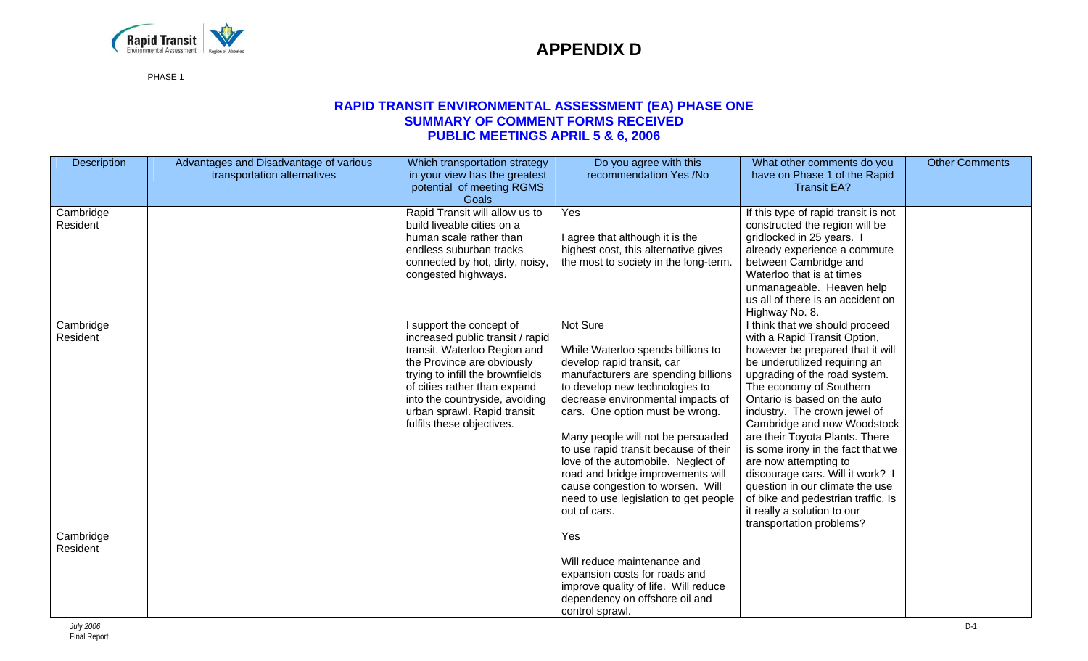

PHASE 1

### **RAPID TRANSIT ENVIRONMENTAL ASSESSMENT (EA) PHASE ONE SUMMARY OF COMMENT FORMS RECEIVED PUBLIC MEETINGS APRIL 5 & 6, 2006**

| Description           | Advantages and Disadvantage of various<br>transportation alternatives | Which transportation strategy<br>in your view has the greatest<br>potential of meeting RGMS<br>Goals                                                                                                                                                                                         | Do you agree with this<br>recommendation Yes /No                                                                                                                                                                                                                                                                                                                                                                                                                                   | What other comments do you<br>have on Phase 1 of the Rapid<br><b>Transit EA?</b>                                                                                                                                                                                                                                                                                                                                                                                                                                                                                     | <b>Other Comments</b> |
|-----------------------|-----------------------------------------------------------------------|----------------------------------------------------------------------------------------------------------------------------------------------------------------------------------------------------------------------------------------------------------------------------------------------|------------------------------------------------------------------------------------------------------------------------------------------------------------------------------------------------------------------------------------------------------------------------------------------------------------------------------------------------------------------------------------------------------------------------------------------------------------------------------------|----------------------------------------------------------------------------------------------------------------------------------------------------------------------------------------------------------------------------------------------------------------------------------------------------------------------------------------------------------------------------------------------------------------------------------------------------------------------------------------------------------------------------------------------------------------------|-----------------------|
| Cambridge<br>Resident |                                                                       | Rapid Transit will allow us to<br>build liveable cities on a<br>human scale rather than<br>endless suburban tracks<br>connected by hot, dirty, noisy,<br>congested highways.                                                                                                                 | Yes<br>I agree that although it is the<br>highest cost, this alternative gives<br>the most to society in the long-term.                                                                                                                                                                                                                                                                                                                                                            | If this type of rapid transit is not<br>constructed the region will be<br>gridlocked in 25 years. I<br>already experience a commute<br>between Cambridge and<br>Waterloo that is at times<br>unmanageable. Heaven help<br>us all of there is an accident on<br>Highway No. 8.                                                                                                                                                                                                                                                                                        |                       |
| Cambridge<br>Resident |                                                                       | I support the concept of<br>increased public transit / rapid<br>transit. Waterloo Region and<br>the Province are obviously<br>trying to infill the brownfields<br>of cities rather than expand<br>into the countryside, avoiding<br>urban sprawl. Rapid transit<br>fulfils these objectives. | Not Sure<br>While Waterloo spends billions to<br>develop rapid transit, car<br>manufacturers are spending billions<br>to develop new technologies to<br>decrease environmental impacts of<br>cars. One option must be wrong.<br>Many people will not be persuaded<br>to use rapid transit because of their<br>love of the automobile. Neglect of<br>road and bridge improvements will<br>cause congestion to worsen. Will<br>need to use legislation to get people<br>out of cars. | I think that we should proceed<br>with a Rapid Transit Option,<br>however be prepared that it will<br>be underutilized requiring an<br>upgrading of the road system.<br>The economy of Southern<br>Ontario is based on the auto<br>industry. The crown jewel of<br>Cambridge and now Woodstock<br>are their Toyota Plants. There<br>is some irony in the fact that we<br>are now attempting to<br>discourage cars. Will it work?<br>question in our climate the use<br>of bike and pedestrian traffic. Is<br>it really a solution to our<br>transportation problems? |                       |
| Cambridge<br>Resident |                                                                       |                                                                                                                                                                                                                                                                                              | Yes<br>Will reduce maintenance and<br>expansion costs for roads and<br>improve quality of life. Will reduce<br>dependency on offshore oil and<br>control sprawl.                                                                                                                                                                                                                                                                                                                   |                                                                                                                                                                                                                                                                                                                                                                                                                                                                                                                                                                      |                       |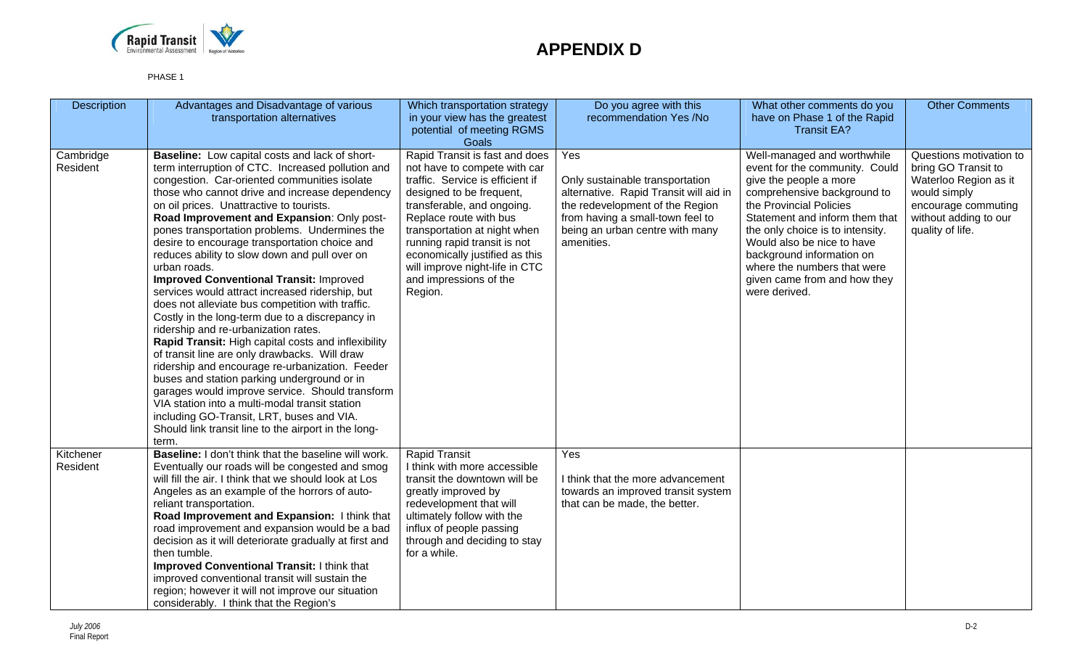

| Description           | Advantages and Disadvantage of various<br>transportation alternatives                                                                                                                                                                                                                                                                                                                                                                                                                                                                                                                                                                                                                                                                                                                                                                                                                                                                                                                                                                                                                                                                                      | Which transportation strategy<br>in your view has the greatest<br>potential of meeting RGMS<br>Goals                                                                                                                                                                                                                                                            | Do you agree with this<br>recommendation Yes /No                                                                                                                                                         | What other comments do you<br>have on Phase 1 of the Rapid<br><b>Transit EA?</b>                                                                                                                                                                                                                                                                                   | <b>Other Comments</b>                                                                                                                                       |
|-----------------------|------------------------------------------------------------------------------------------------------------------------------------------------------------------------------------------------------------------------------------------------------------------------------------------------------------------------------------------------------------------------------------------------------------------------------------------------------------------------------------------------------------------------------------------------------------------------------------------------------------------------------------------------------------------------------------------------------------------------------------------------------------------------------------------------------------------------------------------------------------------------------------------------------------------------------------------------------------------------------------------------------------------------------------------------------------------------------------------------------------------------------------------------------------|-----------------------------------------------------------------------------------------------------------------------------------------------------------------------------------------------------------------------------------------------------------------------------------------------------------------------------------------------------------------|----------------------------------------------------------------------------------------------------------------------------------------------------------------------------------------------------------|--------------------------------------------------------------------------------------------------------------------------------------------------------------------------------------------------------------------------------------------------------------------------------------------------------------------------------------------------------------------|-------------------------------------------------------------------------------------------------------------------------------------------------------------|
| Cambridge<br>Resident | <b>Baseline:</b> Low capital costs and lack of short-<br>term interruption of CTC. Increased pollution and<br>congestion. Car-oriented communities isolate<br>those who cannot drive and increase dependency<br>on oil prices. Unattractive to tourists.<br>Road Improvement and Expansion: Only post-<br>pones transportation problems. Undermines the<br>desire to encourage transportation choice and<br>reduces ability to slow down and pull over on<br>urban roads.<br><b>Improved Conventional Transit: Improved</b><br>services would attract increased ridership, but<br>does not alleviate bus competition with traffic.<br>Costly in the long-term due to a discrepancy in<br>ridership and re-urbanization rates.<br>Rapid Transit: High capital costs and inflexibility<br>of transit line are only drawbacks. Will draw<br>ridership and encourage re-urbanization. Feeder<br>buses and station parking underground or in<br>garages would improve service. Should transform<br>VIA station into a multi-modal transit station<br>including GO-Transit, LRT, buses and VIA.<br>Should link transit line to the airport in the long-<br>term. | Rapid Transit is fast and does<br>not have to compete with car<br>traffic. Service is efficient if<br>designed to be frequent,<br>transferable, and ongoing.<br>Replace route with bus<br>transportation at night when<br>running rapid transit is not<br>economically justified as this<br>will improve night-life in CTC<br>and impressions of the<br>Region. | Yes<br>Only sustainable transportation<br>alternative. Rapid Transit will aid in<br>the redevelopment of the Region<br>from having a small-town feel to<br>being an urban centre with many<br>amenities. | Well-managed and worthwhile<br>event for the community. Could<br>give the people a more<br>comprehensive background to<br>the Provincial Policies<br>Statement and inform them that<br>the only choice is to intensity.<br>Would also be nice to have<br>background information on<br>where the numbers that were<br>given came from and how they<br>were derived. | Questions motivation to<br>bring GO Transit to<br>Waterloo Region as it<br>would simply<br>encourage commuting<br>without adding to our<br>quality of life. |
| Kitchener<br>Resident | Baseline: I don't think that the baseline will work.<br>Eventually our roads will be congested and smog<br>will fill the air. I think that we should look at Los<br>Angeles as an example of the horrors of auto-<br>reliant transportation.<br>Road Improvement and Expansion: I think that<br>road improvement and expansion would be a bad<br>decision as it will deteriorate gradually at first and<br>then tumble.<br><b>Improved Conventional Transit: I think that</b><br>improved conventional transit will sustain the<br>region; however it will not improve our situation<br>considerably. I think that the Region's                                                                                                                                                                                                                                                                                                                                                                                                                                                                                                                            | <b>Rapid Transit</b><br>I think with more accessible<br>transit the downtown will be<br>greatly improved by<br>redevelopment that will<br>ultimately follow with the<br>influx of people passing<br>through and deciding to stay<br>for a while.                                                                                                                | Yes<br>I think that the more advancement<br>towards an improved transit system<br>that can be made, the better.                                                                                          |                                                                                                                                                                                                                                                                                                                                                                    |                                                                                                                                                             |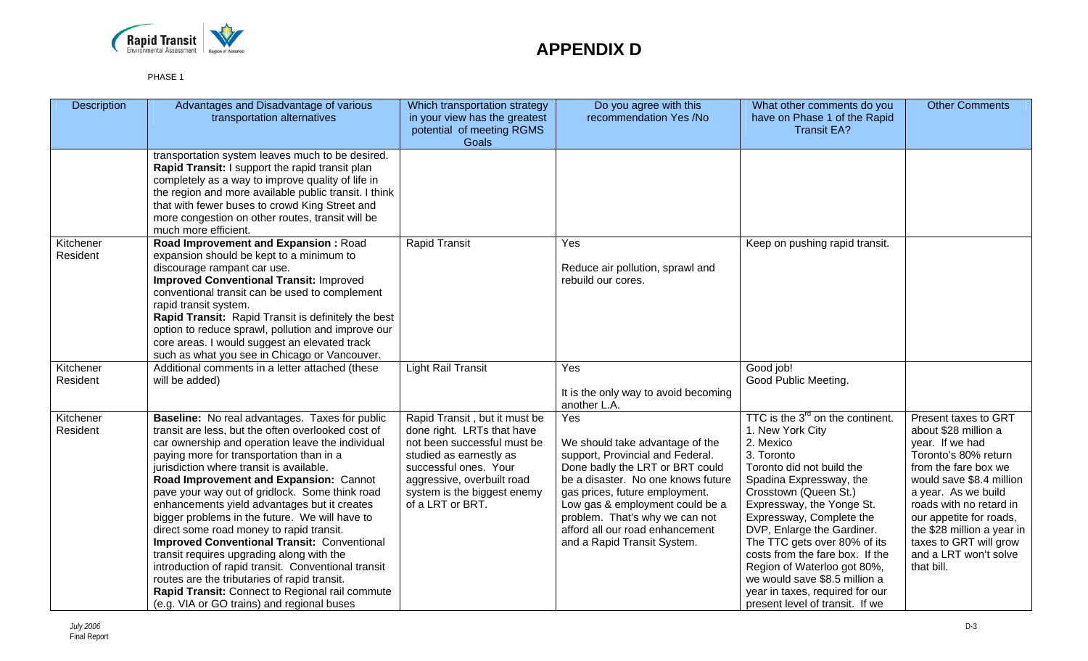

| <b>Description</b>    | Advantages and Disadvantage of various<br>transportation alternatives                                                                                                                                                                                                                                                                                                                                                                                                                                                                                                                                                                                                                                                                                                                                 | Which transportation strategy<br>in your view has the greatest<br>potential of meeting RGMS<br>Goals                                                                                                                            | Do you agree with this<br>recommendation Yes /No                                                                                                                                                                                                                                                                             | What other comments do you<br>have on Phase 1 of the Rapid<br><b>Transit EA?</b>                                                                                                                                                                                                                                                                                                                                                                                             | <b>Other Comments</b>                                                                                                                                                                                                                                                                                                   |
|-----------------------|-------------------------------------------------------------------------------------------------------------------------------------------------------------------------------------------------------------------------------------------------------------------------------------------------------------------------------------------------------------------------------------------------------------------------------------------------------------------------------------------------------------------------------------------------------------------------------------------------------------------------------------------------------------------------------------------------------------------------------------------------------------------------------------------------------|---------------------------------------------------------------------------------------------------------------------------------------------------------------------------------------------------------------------------------|------------------------------------------------------------------------------------------------------------------------------------------------------------------------------------------------------------------------------------------------------------------------------------------------------------------------------|------------------------------------------------------------------------------------------------------------------------------------------------------------------------------------------------------------------------------------------------------------------------------------------------------------------------------------------------------------------------------------------------------------------------------------------------------------------------------|-------------------------------------------------------------------------------------------------------------------------------------------------------------------------------------------------------------------------------------------------------------------------------------------------------------------------|
|                       | transportation system leaves much to be desired.<br>Rapid Transit: I support the rapid transit plan<br>completely as a way to improve quality of life in<br>the region and more available public transit. I think<br>that with fewer buses to crowd King Street and<br>more congestion on other routes, transit will be<br>much more efficient.                                                                                                                                                                                                                                                                                                                                                                                                                                                       |                                                                                                                                                                                                                                 |                                                                                                                                                                                                                                                                                                                              |                                                                                                                                                                                                                                                                                                                                                                                                                                                                              |                                                                                                                                                                                                                                                                                                                         |
| Kitchener<br>Resident | Road Improvement and Expansion: Road<br>expansion should be kept to a minimum to<br>discourage rampant car use.<br><b>Improved Conventional Transit: Improved</b><br>conventional transit can be used to complement<br>rapid transit system.<br>Rapid Transit: Rapid Transit is definitely the best<br>option to reduce sprawl, pollution and improve our<br>core areas. I would suggest an elevated track<br>such as what you see in Chicago or Vancouver.                                                                                                                                                                                                                                                                                                                                           | <b>Rapid Transit</b>                                                                                                                                                                                                            | Yes<br>Reduce air pollution, sprawl and<br>rebuild our cores.                                                                                                                                                                                                                                                                | Keep on pushing rapid transit.                                                                                                                                                                                                                                                                                                                                                                                                                                               |                                                                                                                                                                                                                                                                                                                         |
| Kitchener<br>Resident | Additional comments in a letter attached (these<br>will be added)                                                                                                                                                                                                                                                                                                                                                                                                                                                                                                                                                                                                                                                                                                                                     | <b>Light Rail Transit</b>                                                                                                                                                                                                       | Yes<br>It is the only way to avoid becoming<br>another L.A.                                                                                                                                                                                                                                                                  | Good job!<br>Good Public Meeting.                                                                                                                                                                                                                                                                                                                                                                                                                                            |                                                                                                                                                                                                                                                                                                                         |
| Kitchener<br>Resident | Baseline: No real advantages. Taxes for public<br>transit are less, but the often overlooked cost of<br>car ownership and operation leave the individual<br>paying more for transportation than in a<br>jurisdiction where transit is available.<br>Road Improvement and Expansion: Cannot<br>pave your way out of gridlock. Some think road<br>enhancements yield advantages but it creates<br>bigger problems in the future. We will have to<br>direct some road money to rapid transit.<br><b>Improved Conventional Transit: Conventional</b><br>transit requires upgrading along with the<br>introduction of rapid transit. Conventional transit<br>routes are the tributaries of rapid transit.<br>Rapid Transit: Connect to Regional rail commute<br>(e.g. VIA or GO trains) and regional buses | Rapid Transit, but it must be<br>done right. LRTs that have<br>not been successful must be<br>studied as earnestly as<br>successful ones. Your<br>aggressive, overbuilt road<br>system is the biggest enemy<br>of a LRT or BRT. | Yes<br>We should take advantage of the<br>support, Provincial and Federal.<br>Done badly the LRT or BRT could<br>be a disaster. No one knows future<br>gas prices, future employment.<br>Low gas & employment could be a<br>problem. That's why we can not<br>afford all our road enhancement<br>and a Rapid Transit System. | TTC is the 3 <sup>rd</sup> on the continent.<br>1. New York City<br>2. Mexico<br>3. Toronto<br>Toronto did not build the<br>Spadina Expressway, the<br>Crosstown (Queen St.)<br>Expressway, the Yonge St.<br>Expressway, Complete the<br>DVP, Enlarge the Gardiner.<br>The TTC gets over 80% of its<br>costs from the fare box. If the<br>Region of Waterloo got 80%,<br>we would save \$8.5 million a<br>year in taxes, required for our<br>present level of transit. If we | Present taxes to GRT<br>about \$28 million a<br>year. If we had<br>Toronto's 80% return<br>from the fare box we<br>would save \$8.4 million<br>a year. As we build<br>roads with no retard in<br>our appetite for roads,<br>the \$28 million a year in<br>taxes to GRT will grow<br>and a LRT won't solve<br>that bill. |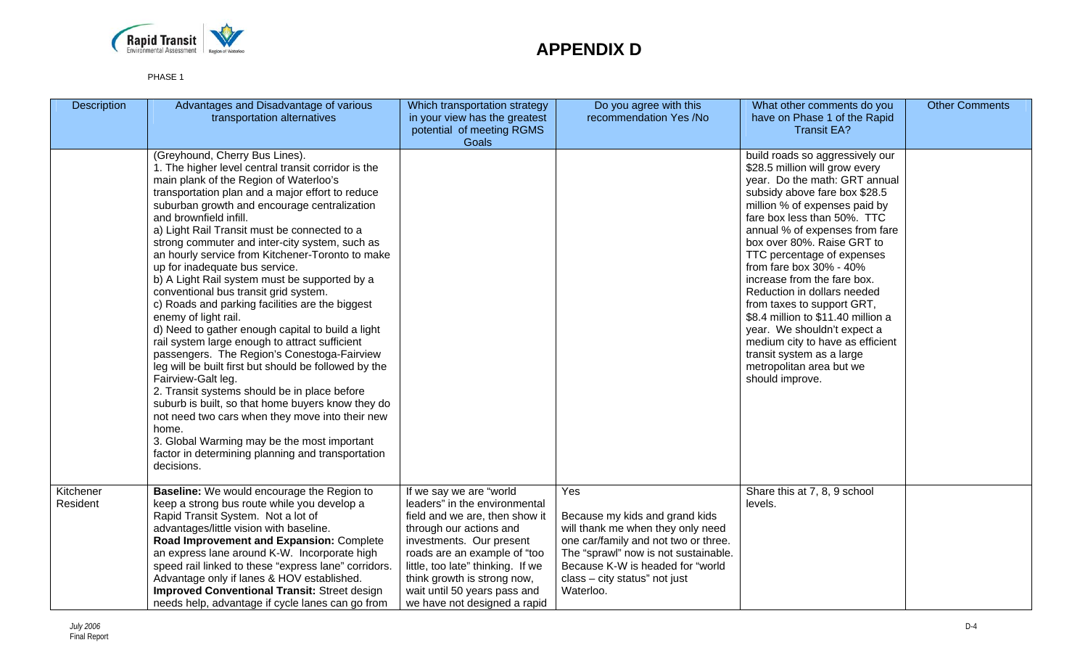

| <b>Description</b>    | Advantages and Disadvantage of various<br>transportation alternatives                                                                                                                                                                                                                                                                                                                                                                                                                                                                                                                                                                                                                                                                                                                                                                                                                                                                                                                                                                                                                                                                              | Which transportation strategy<br>in your view has the greatest<br>potential of meeting RGMS<br><b>Goals</b>                                                                                                                                                                                                           | Do you agree with this<br>recommendation Yes /No                                                                                                                                                                                             | What other comments do you<br>have on Phase 1 of the Rapid<br><b>Transit EA?</b>                                                                                                                                                                                                                                                                                                                                                                                                                                                                                                                              | <b>Other Comments</b> |
|-----------------------|----------------------------------------------------------------------------------------------------------------------------------------------------------------------------------------------------------------------------------------------------------------------------------------------------------------------------------------------------------------------------------------------------------------------------------------------------------------------------------------------------------------------------------------------------------------------------------------------------------------------------------------------------------------------------------------------------------------------------------------------------------------------------------------------------------------------------------------------------------------------------------------------------------------------------------------------------------------------------------------------------------------------------------------------------------------------------------------------------------------------------------------------------|-----------------------------------------------------------------------------------------------------------------------------------------------------------------------------------------------------------------------------------------------------------------------------------------------------------------------|----------------------------------------------------------------------------------------------------------------------------------------------------------------------------------------------------------------------------------------------|---------------------------------------------------------------------------------------------------------------------------------------------------------------------------------------------------------------------------------------------------------------------------------------------------------------------------------------------------------------------------------------------------------------------------------------------------------------------------------------------------------------------------------------------------------------------------------------------------------------|-----------------------|
|                       | (Greyhound, Cherry Bus Lines).<br>1. The higher level central transit corridor is the<br>main plank of the Region of Waterloo's<br>transportation plan and a major effort to reduce<br>suburban growth and encourage centralization<br>and brownfield infill.<br>a) Light Rail Transit must be connected to a<br>strong commuter and inter-city system, such as<br>an hourly service from Kitchener-Toronto to make<br>up for inadequate bus service.<br>b) A Light Rail system must be supported by a<br>conventional bus transit grid system.<br>c) Roads and parking facilities are the biggest<br>enemy of light rail.<br>d) Need to gather enough capital to build a light<br>rail system large enough to attract sufficient<br>passengers. The Region's Conestoga-Fairview<br>leg will be built first but should be followed by the<br>Fairview-Galt leg.<br>2. Transit systems should be in place before<br>suburb is built, so that home buyers know they do<br>not need two cars when they move into their new<br>home.<br>3. Global Warming may be the most important<br>factor in determining planning and transportation<br>decisions. |                                                                                                                                                                                                                                                                                                                       |                                                                                                                                                                                                                                              | build roads so aggressively our<br>\$28.5 million will grow every<br>year. Do the math: GRT annual<br>subsidy above fare box \$28.5<br>million % of expenses paid by<br>fare box less than 50%. TTC<br>annual % of expenses from fare<br>box over 80%. Raise GRT to<br>TTC percentage of expenses<br>from fare box 30% - 40%<br>increase from the fare box.<br>Reduction in dollars needed<br>from taxes to support GRT,<br>\$8.4 million to \$11.40 million a<br>year. We shouldn't expect a<br>medium city to have as efficient<br>transit system as a large<br>metropolitan area but we<br>should improve. |                       |
| Kitchener<br>Resident | <b>Baseline:</b> We would encourage the Region to<br>keep a strong bus route while you develop a<br>Rapid Transit System. Not a lot of<br>advantages/little vision with baseline.<br>Road Improvement and Expansion: Complete<br>an express lane around K-W. Incorporate high<br>speed rail linked to these "express lane" corridors.<br>Advantage only if lanes & HOV established.<br><b>Improved Conventional Transit: Street design</b><br>needs help, advantage if cycle lanes can go from                                                                                                                                                                                                                                                                                                                                                                                                                                                                                                                                                                                                                                                     | If we say we are "world<br>leaders" in the environmental<br>field and we are, then show it<br>through our actions and<br>investments. Our present<br>roads are an example of "too<br>little, too late" thinking. If we<br>think growth is strong now,<br>wait until 50 years pass and<br>we have not designed a rapid | Yes<br>Because my kids and grand kids<br>will thank me when they only need<br>one car/family and not two or three.<br>The "sprawl" now is not sustainable.<br>Because K-W is headed for "world<br>class - city status" not just<br>Waterloo. | Share this at 7, 8, 9 school<br>levels.                                                                                                                                                                                                                                                                                                                                                                                                                                                                                                                                                                       |                       |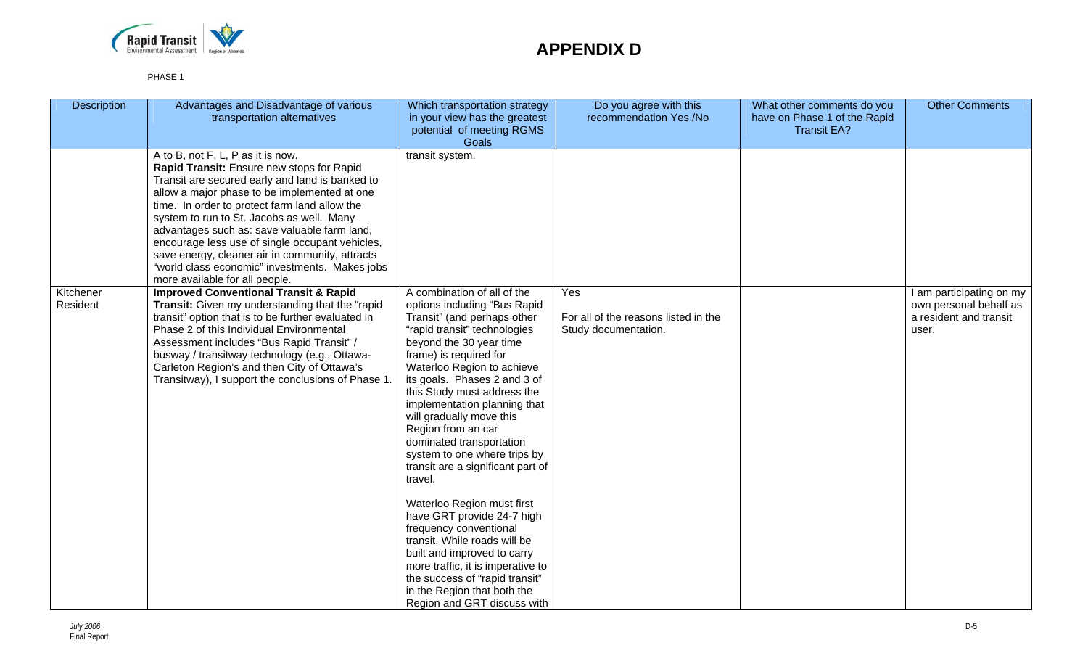

| Description           | Advantages and Disadvantage of various<br>transportation alternatives                                                                                                                                                                                                                                                                                                                                                                                                                                                     | Which transportation strategy<br>in your view has the greatest<br>potential of meeting RGMS<br>Goals                                                                                                                                                                                                                                                                                                                                                                                                                                                                                                                                                                                                                                                                 | Do you agree with this<br>recommendation Yes /No                    | What other comments do you<br>have on Phase 1 of the Rapid<br><b>Transit EA?</b> | <b>Other Comments</b>                                                                 |
|-----------------------|---------------------------------------------------------------------------------------------------------------------------------------------------------------------------------------------------------------------------------------------------------------------------------------------------------------------------------------------------------------------------------------------------------------------------------------------------------------------------------------------------------------------------|----------------------------------------------------------------------------------------------------------------------------------------------------------------------------------------------------------------------------------------------------------------------------------------------------------------------------------------------------------------------------------------------------------------------------------------------------------------------------------------------------------------------------------------------------------------------------------------------------------------------------------------------------------------------------------------------------------------------------------------------------------------------|---------------------------------------------------------------------|----------------------------------------------------------------------------------|---------------------------------------------------------------------------------------|
|                       | A to B, not F, L, P as it is now.<br>Rapid Transit: Ensure new stops for Rapid<br>Transit are secured early and land is banked to<br>allow a major phase to be implemented at one<br>time. In order to protect farm land allow the<br>system to run to St. Jacobs as well. Many<br>advantages such as: save valuable farm land,<br>encourage less use of single occupant vehicles,<br>save energy, cleaner air in community, attracts<br>"world class economic" investments. Makes jobs<br>more available for all people. | transit system.                                                                                                                                                                                                                                                                                                                                                                                                                                                                                                                                                                                                                                                                                                                                                      |                                                                     |                                                                                  |                                                                                       |
| Kitchener<br>Resident | <b>Improved Conventional Transit &amp; Rapid</b><br>Transit: Given my understanding that the "rapid<br>transit" option that is to be further evaluated in<br>Phase 2 of this Individual Environmental<br>Assessment includes "Bus Rapid Transit" /<br>busway / transitway technology (e.g., Ottawa-<br>Carleton Region's and then City of Ottawa's<br>Transitway), I support the conclusions of Phase 1                                                                                                                   | A combination of all of the<br>options including "Bus Rapid<br>Transit" (and perhaps other<br>"rapid transit" technologies<br>beyond the 30 year time<br>frame) is required for<br>Waterloo Region to achieve<br>its goals. Phases 2 and 3 of<br>this Study must address the<br>implementation planning that<br>will gradually move this<br>Region from an car<br>dominated transportation<br>system to one where trips by<br>transit are a significant part of<br>travel.<br>Waterloo Region must first<br>have GRT provide 24-7 high<br>frequency conventional<br>transit. While roads will be<br>built and improved to carry<br>more traffic, it is imperative to<br>the success of "rapid transit"<br>in the Region that both the<br>Region and GRT discuss with | Yes<br>For all of the reasons listed in the<br>Study documentation. |                                                                                  | I am participating on my<br>own personal behalf as<br>a resident and transit<br>user. |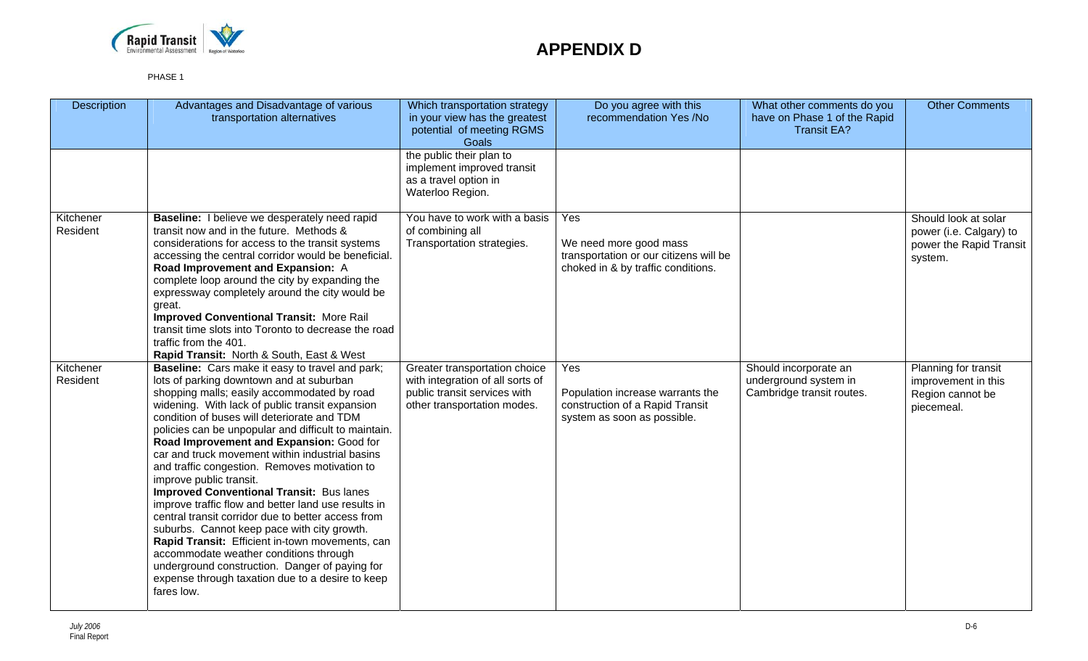

| <b>Description</b>    | Advantages and Disadvantage of various<br>transportation alternatives                                                                                                                                                                                                                                                                                                                                                                                                                                                                                                                                                                                                                                                                                                                                                                                                                                                  | Which transportation strategy<br>in your view has the greatest<br>potential of meeting RGMS<br>Goals                             | Do you agree with this<br>recommendation Yes /No                                                              | What other comments do you<br>have on Phase 1 of the Rapid<br><b>Transit EA?</b> | <b>Other Comments</b>                                                                 |
|-----------------------|------------------------------------------------------------------------------------------------------------------------------------------------------------------------------------------------------------------------------------------------------------------------------------------------------------------------------------------------------------------------------------------------------------------------------------------------------------------------------------------------------------------------------------------------------------------------------------------------------------------------------------------------------------------------------------------------------------------------------------------------------------------------------------------------------------------------------------------------------------------------------------------------------------------------|----------------------------------------------------------------------------------------------------------------------------------|---------------------------------------------------------------------------------------------------------------|----------------------------------------------------------------------------------|---------------------------------------------------------------------------------------|
|                       |                                                                                                                                                                                                                                                                                                                                                                                                                                                                                                                                                                                                                                                                                                                                                                                                                                                                                                                        | the public their plan to<br>implement improved transit<br>as a travel option in<br>Waterloo Region.                              |                                                                                                               |                                                                                  |                                                                                       |
| Kitchener<br>Resident | Baseline: I believe we desperately need rapid<br>transit now and in the future. Methods &<br>considerations for access to the transit systems<br>accessing the central corridor would be beneficial.<br>Road Improvement and Expansion: A<br>complete loop around the city by expanding the<br>expressway completely around the city would be<br>great.<br><b>Improved Conventional Transit: More Rail</b><br>transit time slots into Toronto to decrease the road<br>traffic from the 401.<br>Rapid Transit: North & South, East & West                                                                                                                                                                                                                                                                                                                                                                               | You have to work with a basis<br>of combining all<br>Transportation strategies.                                                  | Yes<br>We need more good mass<br>transportation or our citizens will be<br>choked in & by traffic conditions. |                                                                                  | Should look at solar<br>power (i.e. Calgary) to<br>power the Rapid Transit<br>system. |
| Kitchener<br>Resident | <b>Baseline:</b> Cars make it easy to travel and park;<br>lots of parking downtown and at suburban<br>shopping malls; easily accommodated by road<br>widening. With lack of public transit expansion<br>condition of buses will deteriorate and TDM<br>policies can be unpopular and difficult to maintain.<br>Road Improvement and Expansion: Good for<br>car and truck movement within industrial basins<br>and traffic congestion. Removes motivation to<br>improve public transit.<br><b>Improved Conventional Transit: Bus lanes</b><br>improve traffic flow and better land use results in<br>central transit corridor due to better access from<br>suburbs. Cannot keep pace with city growth.<br>Rapid Transit: Efficient in-town movements, can<br>accommodate weather conditions through<br>underground construction. Danger of paying for<br>expense through taxation due to a desire to keep<br>fares low. | Greater transportation choice<br>with integration of all sorts of<br>public transit services with<br>other transportation modes. | Yes<br>Population increase warrants the<br>construction of a Rapid Transit<br>system as soon as possible.     | Should incorporate an<br>underground system in<br>Cambridge transit routes.      | Planning for transit<br>improvement in this<br>Region cannot be<br>piecemeal.         |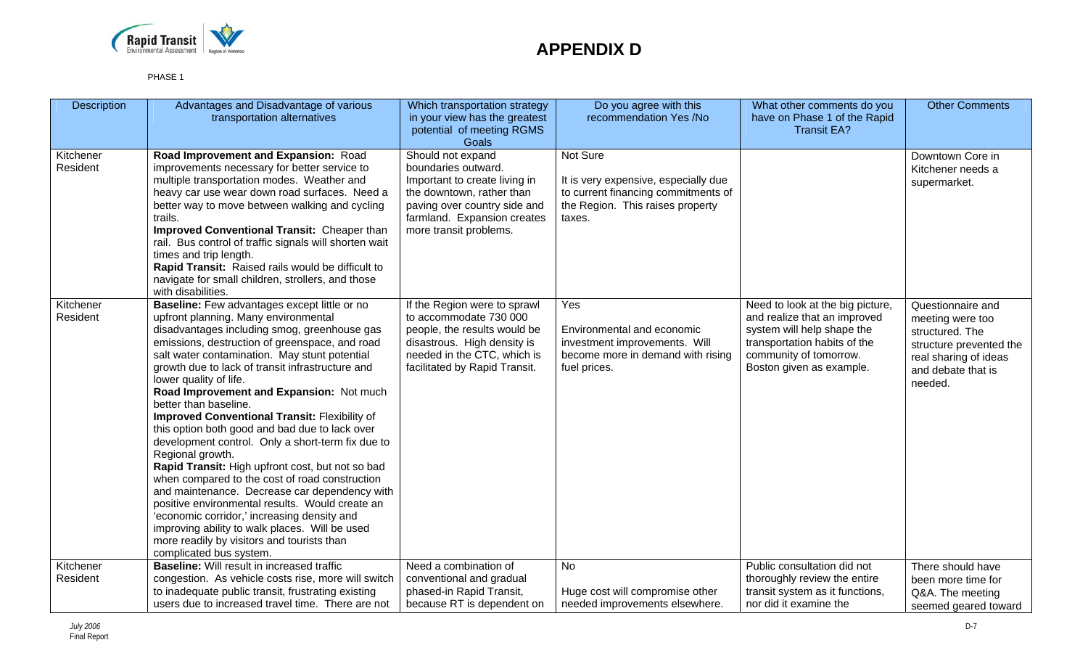

| <b>Description</b>    | Advantages and Disadvantage of various<br>transportation alternatives                                                                                                                                                                                                                                                                                                                                                                                                                                                                                                                                                                                                                                                                                                                                                                                                                                                                                      | Which transportation strategy<br>in your view has the greatest<br>potential of meeting RGMS<br><b>Goals</b>                                                                                     | Do you agree with this<br>recommendation Yes /No                                                                                      | What other comments do you<br>have on Phase 1 of the Rapid<br><b>Transit EA?</b>                                                                                                     | <b>Other Comments</b>                                                                                                                         |
|-----------------------|------------------------------------------------------------------------------------------------------------------------------------------------------------------------------------------------------------------------------------------------------------------------------------------------------------------------------------------------------------------------------------------------------------------------------------------------------------------------------------------------------------------------------------------------------------------------------------------------------------------------------------------------------------------------------------------------------------------------------------------------------------------------------------------------------------------------------------------------------------------------------------------------------------------------------------------------------------|-------------------------------------------------------------------------------------------------------------------------------------------------------------------------------------------------|---------------------------------------------------------------------------------------------------------------------------------------|--------------------------------------------------------------------------------------------------------------------------------------------------------------------------------------|-----------------------------------------------------------------------------------------------------------------------------------------------|
| Kitchener<br>Resident | Road Improvement and Expansion: Road<br>improvements necessary for better service to<br>multiple transportation modes. Weather and<br>heavy car use wear down road surfaces. Need a<br>better way to move between walking and cycling<br>trails.<br>Improved Conventional Transit: Cheaper than<br>rail. Bus control of traffic signals will shorten wait<br>times and trip length.<br>Rapid Transit: Raised rails would be difficult to<br>navigate for small children, strollers, and those<br>with disabilities.                                                                                                                                                                                                                                                                                                                                                                                                                                        | Should not expand<br>boundaries outward.<br>Important to create living in<br>the downtown, rather than<br>paving over country side and<br>farmland. Expansion creates<br>more transit problems. | Not Sure<br>It is very expensive, especially due<br>to current financing commitments of<br>the Region. This raises property<br>taxes. |                                                                                                                                                                                      | Downtown Core in<br>Kitchener needs a<br>supermarket.                                                                                         |
| Kitchener<br>Resident | Baseline: Few advantages except little or no<br>upfront planning. Many environmental<br>disadvantages including smog, greenhouse gas<br>emissions, destruction of greenspace, and road<br>salt water contamination. May stunt potential<br>growth due to lack of transit infrastructure and<br>lower quality of life.<br>Road Improvement and Expansion: Not much<br>better than baseline.<br>Improved Conventional Transit: Flexibility of<br>this option both good and bad due to lack over<br>development control. Only a short-term fix due to<br>Regional growth.<br>Rapid Transit: High upfront cost, but not so bad<br>when compared to the cost of road construction<br>and maintenance. Decrease car dependency with<br>positive environmental results. Would create an<br>'economic corridor,' increasing density and<br>improving ability to walk places. Will be used<br>more readily by visitors and tourists than<br>complicated bus system. | If the Region were to sprawl<br>to accommodate 730 000<br>people, the results would be<br>disastrous. High density is<br>needed in the CTC, which is<br>facilitated by Rapid Transit.           | Yes<br>Environmental and economic<br>investment improvements. Will<br>become more in demand with rising<br>fuel prices.               | Need to look at the big picture,<br>and realize that an improved<br>system will help shape the<br>transportation habits of the<br>community of tomorrow.<br>Boston given as example. | Questionnaire and<br>meeting were too<br>structured. The<br>structure prevented the<br>real sharing of ideas<br>and debate that is<br>needed. |
| Kitchener             | <b>Baseline:</b> Will result in increased traffic                                                                                                                                                                                                                                                                                                                                                                                                                                                                                                                                                                                                                                                                                                                                                                                                                                                                                                          | Need a combination of                                                                                                                                                                           | No                                                                                                                                    | Public consultation did not                                                                                                                                                          | There should have                                                                                                                             |
| Resident              | congestion. As vehicle costs rise, more will switch<br>to inadequate public transit, frustrating existing<br>users due to increased travel time. There are not                                                                                                                                                                                                                                                                                                                                                                                                                                                                                                                                                                                                                                                                                                                                                                                             | conventional and gradual<br>phased-in Rapid Transit,<br>because RT is dependent on                                                                                                              | Huge cost will compromise other<br>needed improvements elsewhere.                                                                     | thoroughly review the entire<br>transit system as it functions,<br>nor did it examine the                                                                                            | been more time for<br>Q&A. The meeting<br>seemed geared toward                                                                                |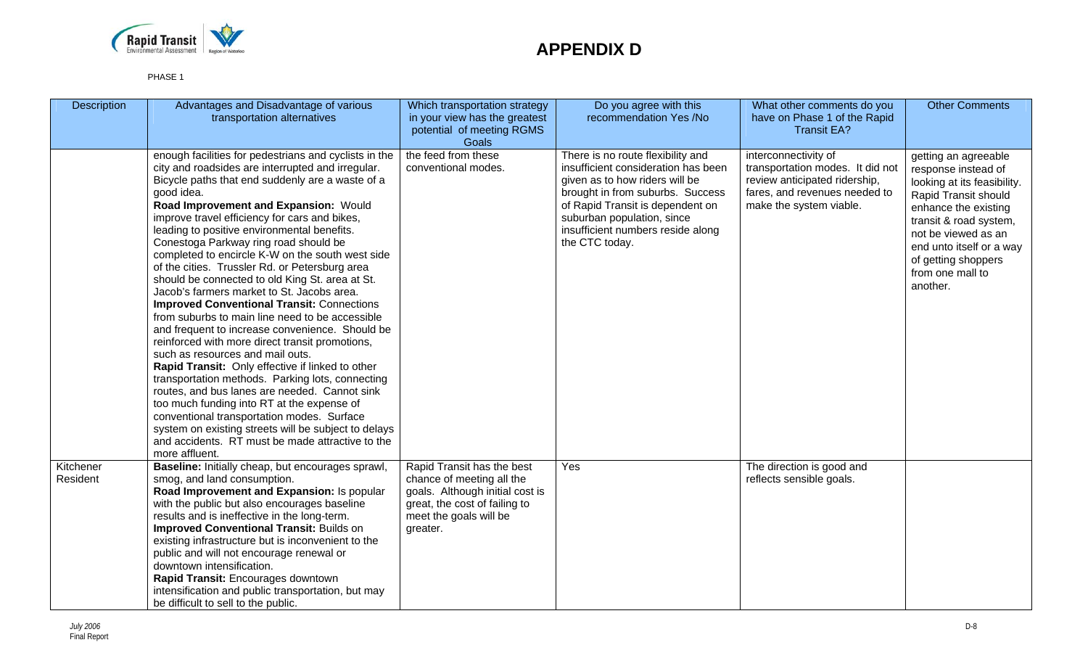

| Description           | Advantages and Disadvantage of various<br>transportation alternatives                                                                                                                                                                                                                                                                                                                                                                                                                                                                                                                                                                                                                                                                                                                                                                                                                                                                                                                                                                                                                                                                                                                                      | Which transportation strategy<br>in your view has the greatest<br>potential of meeting RGMS<br>Goals                                                              | Do you agree with this<br>recommendation Yes /No                                                                                                                                                                                                                        | What other comments do you<br>have on Phase 1 of the Rapid<br><b>Transit EA?</b>                                                                      | <b>Other Comments</b>                                                                                                                                                                                                                                          |
|-----------------------|------------------------------------------------------------------------------------------------------------------------------------------------------------------------------------------------------------------------------------------------------------------------------------------------------------------------------------------------------------------------------------------------------------------------------------------------------------------------------------------------------------------------------------------------------------------------------------------------------------------------------------------------------------------------------------------------------------------------------------------------------------------------------------------------------------------------------------------------------------------------------------------------------------------------------------------------------------------------------------------------------------------------------------------------------------------------------------------------------------------------------------------------------------------------------------------------------------|-------------------------------------------------------------------------------------------------------------------------------------------------------------------|-------------------------------------------------------------------------------------------------------------------------------------------------------------------------------------------------------------------------------------------------------------------------|-------------------------------------------------------------------------------------------------------------------------------------------------------|----------------------------------------------------------------------------------------------------------------------------------------------------------------------------------------------------------------------------------------------------------------|
|                       | enough facilities for pedestrians and cyclists in the<br>city and roadsides are interrupted and irregular.<br>Bicycle paths that end suddenly are a waste of a<br>good idea.<br>Road Improvement and Expansion: Would<br>improve travel efficiency for cars and bikes,<br>leading to positive environmental benefits.<br>Conestoga Parkway ring road should be<br>completed to encircle K-W on the south west side<br>of the cities. Trussler Rd. or Petersburg area<br>should be connected to old King St. area at St.<br>Jacob's farmers market to St. Jacobs area.<br><b>Improved Conventional Transit: Connections</b><br>from suburbs to main line need to be accessible<br>and frequent to increase convenience. Should be<br>reinforced with more direct transit promotions,<br>such as resources and mail outs.<br>Rapid Transit: Only effective if linked to other<br>transportation methods. Parking lots, connecting<br>routes, and bus lanes are needed. Cannot sink<br>too much funding into RT at the expense of<br>conventional transportation modes. Surface<br>system on existing streets will be subject to delays<br>and accidents. RT must be made attractive to the<br>more affluent. | the feed from these<br>conventional modes.                                                                                                                        | There is no route flexibility and<br>insufficient consideration has been<br>given as to how riders will be<br>brought in from suburbs. Success<br>of Rapid Transit is dependent on<br>suburban population, since<br>insufficient numbers reside along<br>the CTC today. | interconnectivity of<br>transportation modes. It did not<br>review anticipated ridership,<br>fares, and revenues needed to<br>make the system viable. | getting an agreeable<br>response instead of<br>looking at its feasibility.<br>Rapid Transit should<br>enhance the existing<br>transit & road system,<br>not be viewed as an<br>end unto itself or a way<br>of getting shoppers<br>from one mall to<br>another. |
| Kitchener<br>Resident | Baseline: Initially cheap, but encourages sprawl,<br>smog, and land consumption.<br>Road Improvement and Expansion: Is popular<br>with the public but also encourages baseline<br>results and is ineffective in the long-term.<br>Improved Conventional Transit: Builds on<br>existing infrastructure but is inconvenient to the<br>public and will not encourage renewal or<br>downtown intensification.<br>Rapid Transit: Encourages downtown<br>intensification and public transportation, but may<br>be difficult to sell to the public.                                                                                                                                                                                                                                                                                                                                                                                                                                                                                                                                                                                                                                                               | Rapid Transit has the best<br>chance of meeting all the<br>goals. Although initial cost is<br>great, the cost of failing to<br>meet the goals will be<br>greater. | Yes                                                                                                                                                                                                                                                                     | The direction is good and<br>reflects sensible goals.                                                                                                 |                                                                                                                                                                                                                                                                |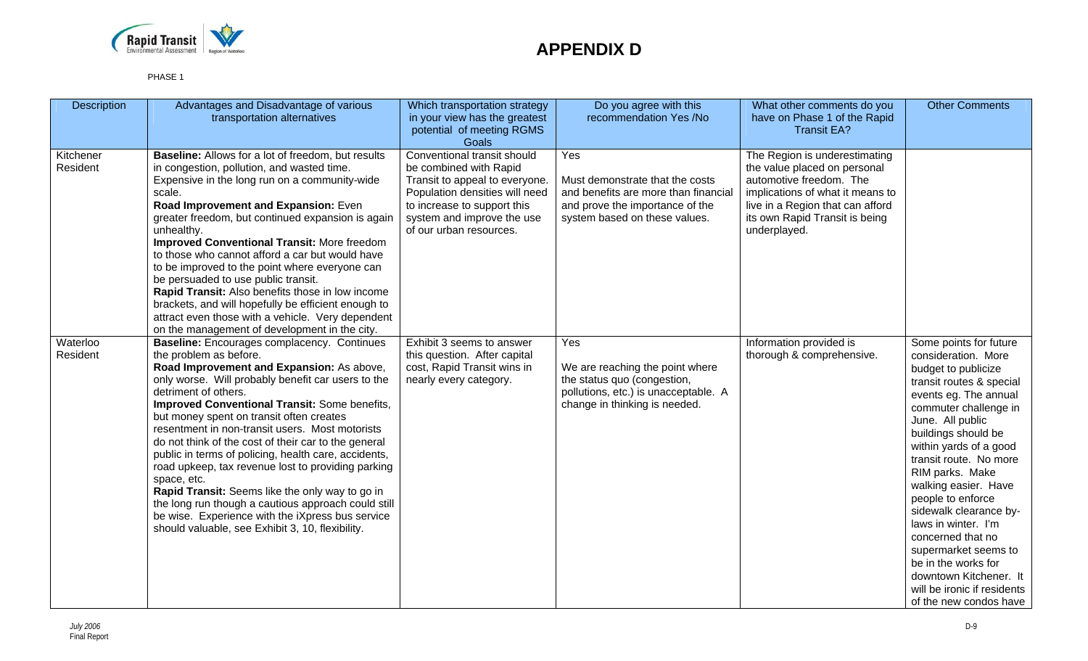

| <b>Description</b>    | Advantages and Disadvantage of various<br>transportation alternatives                                                                                                                                                                                                                                                                                                                                                                                                                                                                                                                                                                                                                                                                                          | Which transportation strategy<br>in your view has the greatest<br>potential of meeting RGMS<br>Goals                                                                                                              | Do you agree with this<br>recommendation Yes /No                                                                                                   | What other comments do you<br>have on Phase 1 of the Rapid<br><b>Transit EA?</b>                                                                                                                                   | <b>Other Comments</b>                                                                                                                                                                                                                                                                                                                                                                                                                                                                                                     |
|-----------------------|----------------------------------------------------------------------------------------------------------------------------------------------------------------------------------------------------------------------------------------------------------------------------------------------------------------------------------------------------------------------------------------------------------------------------------------------------------------------------------------------------------------------------------------------------------------------------------------------------------------------------------------------------------------------------------------------------------------------------------------------------------------|-------------------------------------------------------------------------------------------------------------------------------------------------------------------------------------------------------------------|----------------------------------------------------------------------------------------------------------------------------------------------------|--------------------------------------------------------------------------------------------------------------------------------------------------------------------------------------------------------------------|---------------------------------------------------------------------------------------------------------------------------------------------------------------------------------------------------------------------------------------------------------------------------------------------------------------------------------------------------------------------------------------------------------------------------------------------------------------------------------------------------------------------------|
| Kitchener<br>Resident | <b>Baseline:</b> Allows for a lot of freedom, but results<br>in congestion, pollution, and wasted time.<br>Expensive in the long run on a community-wide<br>scale.<br>Road Improvement and Expansion: Even<br>greater freedom, but continued expansion is again<br>unhealthy.<br><b>Improved Conventional Transit: More freedom</b><br>to those who cannot afford a car but would have<br>to be improved to the point where everyone can<br>be persuaded to use public transit.<br>Rapid Transit: Also benefits those in low income<br>brackets, and will hopefully be efficient enough to<br>attract even those with a vehicle. Very dependent<br>on the management of development in the city.                                                               | Conventional transit should<br>be combined with Rapid<br>Transit to appeal to everyone.<br>Population densities will need<br>to increase to support this<br>system and improve the use<br>of our urban resources. | Yes<br>Must demonstrate that the costs<br>and benefits are more than financial<br>and prove the importance of the<br>system based on these values. | The Region is underestimating<br>the value placed on personal<br>automotive freedom. The<br>implications of what it means to<br>live in a Region that can afford<br>its own Rapid Transit is being<br>underplayed. |                                                                                                                                                                                                                                                                                                                                                                                                                                                                                                                           |
| Waterloo<br>Resident  | <b>Baseline:</b> Encourages complacency. Continues<br>the problem as before.<br>Road Improvement and Expansion: As above,<br>only worse. Will probably benefit car users to the<br>detriment of others.<br>Improved Conventional Transit: Some benefits,<br>but money spent on transit often creates<br>resentment in non-transit users. Most motorists<br>do not think of the cost of their car to the general<br>public in terms of policing, health care, accidents,<br>road upkeep, tax revenue lost to providing parking<br>space, etc.<br>Rapid Transit: Seems like the only way to go in<br>the long run though a cautious approach could still<br>be wise. Experience with the iXpress bus service<br>should valuable, see Exhibit 3, 10, flexibility. | Exhibit 3 seems to answer<br>this question. After capital<br>cost, Rapid Transit wins in<br>nearly every category.                                                                                                | Yes<br>We are reaching the point where<br>the status quo (congestion,<br>pollutions, etc.) is unacceptable. A<br>change in thinking is needed.     | Information provided is<br>thorough & comprehensive.                                                                                                                                                               | Some points for future<br>consideration. More<br>budget to publicize<br>transit routes & special<br>events eg. The annual<br>commuter challenge in<br>June. All public<br>buildings should be<br>within yards of a good<br>transit route. No more<br>RIM parks. Make<br>walking easier. Have<br>people to enforce<br>sidewalk clearance by-<br>laws in winter. I'm<br>concerned that no<br>supermarket seems to<br>be in the works for<br>downtown Kitchener. It<br>will be ironic if residents<br>of the new condos have |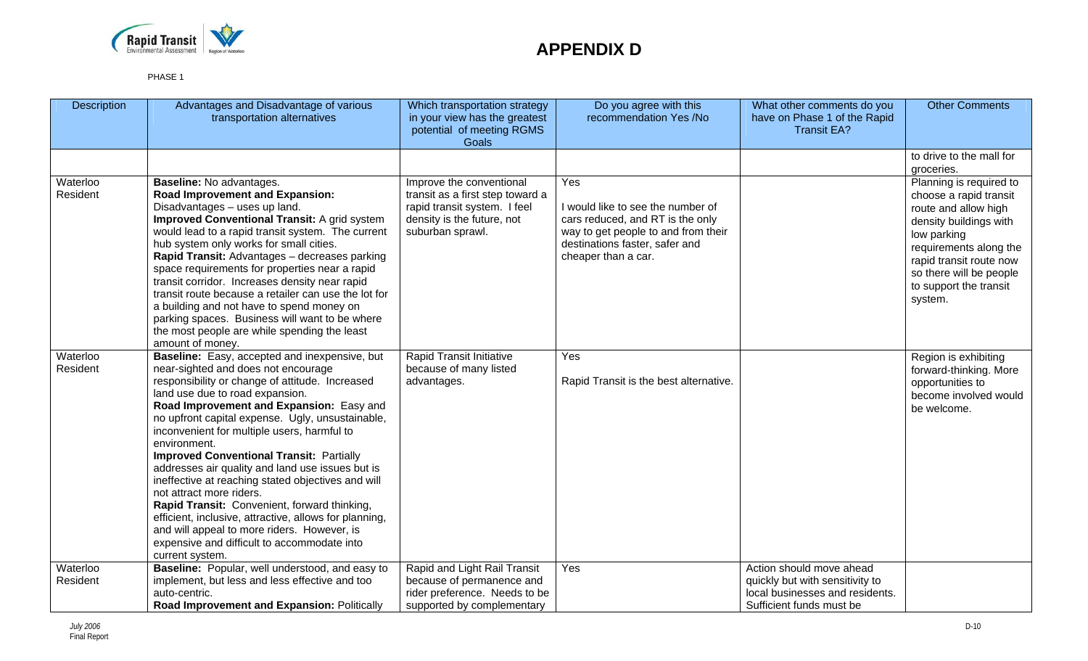

| <b>Description</b>   | Advantages and Disadvantage of various<br>transportation alternatives                                                                                                                                                                                                                                                                                                                                                                                                                                                                                                                                                                                                                                                                                         | Which transportation strategy<br>in your view has the greatest<br>potential of meeting RGMS<br>Goals                                           | Do you agree with this<br>recommendation Yes /No                                                                                                                             | What other comments do you<br>have on Phase 1 of the Rapid<br><b>Transit EA?</b>               | <b>Other Comments</b>                                                                                                                                                                                                                   |
|----------------------|---------------------------------------------------------------------------------------------------------------------------------------------------------------------------------------------------------------------------------------------------------------------------------------------------------------------------------------------------------------------------------------------------------------------------------------------------------------------------------------------------------------------------------------------------------------------------------------------------------------------------------------------------------------------------------------------------------------------------------------------------------------|------------------------------------------------------------------------------------------------------------------------------------------------|------------------------------------------------------------------------------------------------------------------------------------------------------------------------------|------------------------------------------------------------------------------------------------|-----------------------------------------------------------------------------------------------------------------------------------------------------------------------------------------------------------------------------------------|
|                      |                                                                                                                                                                                                                                                                                                                                                                                                                                                                                                                                                                                                                                                                                                                                                               |                                                                                                                                                |                                                                                                                                                                              |                                                                                                | to drive to the mall for                                                                                                                                                                                                                |
|                      |                                                                                                                                                                                                                                                                                                                                                                                                                                                                                                                                                                                                                                                                                                                                                               |                                                                                                                                                |                                                                                                                                                                              |                                                                                                | groceries.                                                                                                                                                                                                                              |
| Waterloo<br>Resident | Baseline: No advantages.<br>Road Improvement and Expansion:<br>Disadvantages - uses up land.<br><b>Improved Conventional Transit: A grid system</b><br>would lead to a rapid transit system. The current<br>hub system only works for small cities.<br>Rapid Transit: Advantages - decreases parking<br>space requirements for properties near a rapid<br>transit corridor. Increases density near rapid<br>transit route because a retailer can use the lot for<br>a building and not have to spend money on<br>parking spaces. Business will want to be where<br>the most people are while spending the least<br>amount of money.                                                                                                                           | Improve the conventional<br>transit as a first step toward a<br>rapid transit system. I feel<br>density is the future, not<br>suburban sprawl. | Yes<br>I would like to see the number of<br>cars reduced, and RT is the only<br>way to get people to and from their<br>destinations faster, safer and<br>cheaper than a car. |                                                                                                | Planning is required to<br>choose a rapid transit<br>route and allow high<br>density buildings with<br>low parking<br>requirements along the<br>rapid transit route now<br>so there will be people<br>to support the transit<br>system. |
| Waterloo<br>Resident | Baseline: Easy, accepted and inexpensive, but<br>near-sighted and does not encourage<br>responsibility or change of attitude. Increased<br>land use due to road expansion.<br>Road Improvement and Expansion: Easy and<br>no upfront capital expense. Ugly, unsustainable,<br>inconvenient for multiple users, harmful to<br>environment.<br><b>Improved Conventional Transit: Partially</b><br>addresses air quality and land use issues but is<br>ineffective at reaching stated objectives and will<br>not attract more riders.<br>Rapid Transit: Convenient, forward thinking,<br>efficient, inclusive, attractive, allows for planning,<br>and will appeal to more riders. However, is<br>expensive and difficult to accommodate into<br>current system. | Rapid Transit Initiative<br>because of many listed<br>advantages.                                                                              | Yes<br>Rapid Transit is the best alternative.                                                                                                                                |                                                                                                | Region is exhibiting<br>forward-thinking. More<br>opportunities to<br>become involved would<br>be welcome.                                                                                                                              |
| Waterloo             | Baseline: Popular, well understood, and easy to                                                                                                                                                                                                                                                                                                                                                                                                                                                                                                                                                                                                                                                                                                               | Rapid and Light Rail Transit                                                                                                                   | Yes                                                                                                                                                                          | Action should move ahead                                                                       |                                                                                                                                                                                                                                         |
| Resident             | implement, but less and less effective and too<br>auto-centric.<br>Road Improvement and Expansion: Politically                                                                                                                                                                                                                                                                                                                                                                                                                                                                                                                                                                                                                                                | because of permanence and<br>rider preference. Needs to be<br>supported by complementary                                                       |                                                                                                                                                                              | quickly but with sensitivity to<br>local businesses and residents.<br>Sufficient funds must be |                                                                                                                                                                                                                                         |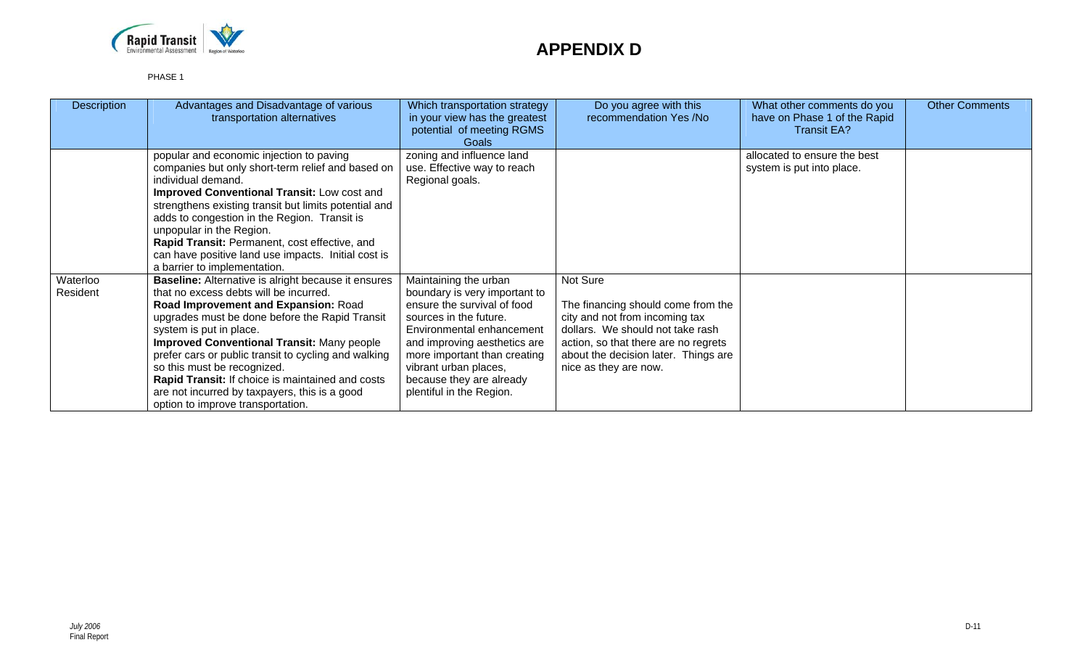

| <b>Description</b>   | Advantages and Disadvantage of various<br>transportation alternatives                                                                                                                                                                                                                                                                                                                                                                                                                                           | Which transportation strategy<br>in your view has the greatest<br>potential of meeting RGMS<br>Goals                                                                                                                                                                                          | Do you agree with this<br>recommendation Yes /No                                                                                                                                                                              | What other comments do you<br>have on Phase 1 of the Rapid<br><b>Transit EA?</b> | <b>Other Comments</b> |
|----------------------|-----------------------------------------------------------------------------------------------------------------------------------------------------------------------------------------------------------------------------------------------------------------------------------------------------------------------------------------------------------------------------------------------------------------------------------------------------------------------------------------------------------------|-----------------------------------------------------------------------------------------------------------------------------------------------------------------------------------------------------------------------------------------------------------------------------------------------|-------------------------------------------------------------------------------------------------------------------------------------------------------------------------------------------------------------------------------|----------------------------------------------------------------------------------|-----------------------|
|                      | popular and economic injection to paving<br>companies but only short-term relief and based on<br>individual demand.<br><b>Improved Conventional Transit: Low cost and</b><br>strengthens existing transit but limits potential and<br>adds to congestion in the Region. Transit is<br>unpopular in the Region.<br>Rapid Transit: Permanent, cost effective, and<br>can have positive land use impacts. Initial cost is<br>a barrier to implementation.                                                          | zoning and influence land<br>use. Effective way to reach<br>Regional goals.                                                                                                                                                                                                                   |                                                                                                                                                                                                                               | allocated to ensure the best<br>system is put into place.                        |                       |
| Waterloo<br>Resident | <b>Baseline:</b> Alternative is alright because it ensures<br>that no excess debts will be incurred.<br>Road Improvement and Expansion: Road<br>upgrades must be done before the Rapid Transit<br>system is put in place.<br><b>Improved Conventional Transit: Many people</b><br>prefer cars or public transit to cycling and walking<br>so this must be recognized.<br>Rapid Transit: If choice is maintained and costs<br>are not incurred by taxpayers, this is a good<br>option to improve transportation. | Maintaining the urban<br>boundary is very important to<br>ensure the survival of food<br>sources in the future.<br>Environmental enhancement<br>and improving aesthetics are<br>more important than creating<br>vibrant urban places,<br>because they are already<br>plentiful in the Region. | Not Sure<br>The financing should come from the<br>city and not from incoming tax<br>dollars. We should not take rash<br>action, so that there are no regrets<br>about the decision later. Things are<br>nice as they are now. |                                                                                  |                       |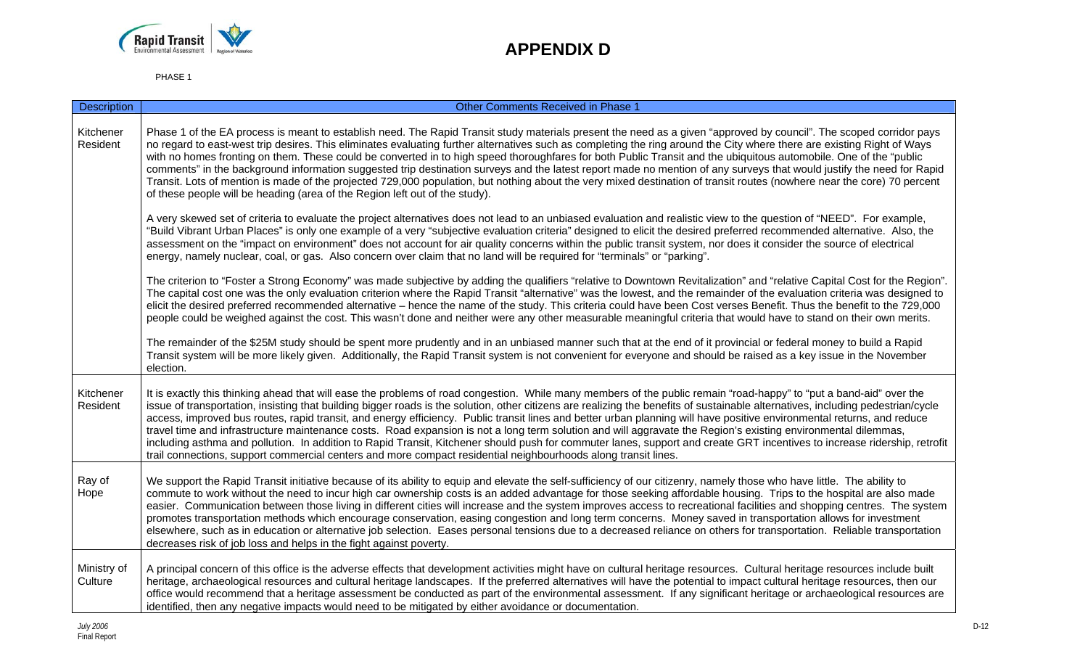

| <b>Description</b>     | <b>Other Comments Received in Phase 1</b>                                                                                                                                                                                                                                                                                                                                                                                                                                                                                                                                                                                                                                                                                                                                                                                                                                                                                                                                                         |
|------------------------|---------------------------------------------------------------------------------------------------------------------------------------------------------------------------------------------------------------------------------------------------------------------------------------------------------------------------------------------------------------------------------------------------------------------------------------------------------------------------------------------------------------------------------------------------------------------------------------------------------------------------------------------------------------------------------------------------------------------------------------------------------------------------------------------------------------------------------------------------------------------------------------------------------------------------------------------------------------------------------------------------|
| Kitchener<br>Resident  | Phase 1 of the EA process is meant to establish need. The Rapid Transit study materials present the need as a given "approved by council". The scoped corridor pays<br>no regard to east-west trip desires. This eliminates evaluating further alternatives such as completing the ring around the City where there are existing Right of Ways<br>with no homes fronting on them. These could be converted in to high speed thoroughfares for both Public Transit and the ubiquitous automobile. One of the "public<br>comments" in the background information suggested trip destination surveys and the latest report made no mention of any surveys that would justify the need for Rapid<br>Transit. Lots of mention is made of the projected 729,000 population, but nothing about the very mixed destination of transit routes (nowhere near the core) 70 percent<br>of these people will be heading (area of the Region left out of the study).                                            |
|                        | A very skewed set of criteria to evaluate the project alternatives does not lead to an unbiased evaluation and realistic view to the question of "NEED". For example,<br>"Build Vibrant Urban Places" is only one example of a very "subjective evaluation criteria" designed to elicit the desired preferred recommended alternative. Also, the<br>assessment on the "impact on environment" does not account for air quality concerns within the public transit system, nor does it consider the source of electrical<br>energy, namely nuclear, coal, or gas. Also concern over claim that no land will be required for "terminals" or "parking".                                                                                                                                                                                                                                                                                                                                              |
|                        | The criterion to "Foster a Strong Economy" was made subjective by adding the qualifiers "relative to Downtown Revitalization" and "relative Capital Cost for the Region".<br>The capital cost one was the only evaluation criterion where the Rapid Transit "alternative" was the lowest, and the remainder of the evaluation criteria was designed to<br>elicit the desired preferred recommended alternative – hence the name of the study. This criteria could have been Cost verses Benefit. Thus the benefit to the 729,000<br>people could be weighed against the cost. This wasn't done and neither were any other measurable meaningful criteria that would have to stand on their own merits.                                                                                                                                                                                                                                                                                            |
|                        | The remainder of the \$25M study should be spent more prudently and in an unbiased manner such that at the end of it provincial or federal money to build a Rapid<br>Transit system will be more likely given. Additionally, the Rapid Transit system is not convenient for everyone and should be raised as a key issue in the November<br>election.                                                                                                                                                                                                                                                                                                                                                                                                                                                                                                                                                                                                                                             |
| Kitchener<br>Resident  | It is exactly this thinking ahead that will ease the problems of road congestion. While many members of the public remain "road-happy" to "put a band-aid" over the<br>issue of transportation, insisting that building bigger roads is the solution, other citizens are realizing the benefits of sustainable alternatives, including pedestrian/cycle<br>access, improved bus routes, rapid transit, and energy efficiency. Public transit lines and better urban planning will have positive environmental returns, and reduce<br>travel time and infrastructure maintenance costs. Road expansion is not a long term solution and will aggravate the Region's existing environmental dilemmas,<br>including asthma and pollution. In addition to Rapid Transit, Kitchener should push for commuter lanes, support and create GRT incentives to increase ridership, retrofit<br>trail connections, support commercial centers and more compact residential neighbourhoods along transit lines. |
| Ray of<br>Hope         | We support the Rapid Transit initiative because of its ability to equip and elevate the self-sufficiency of our citizenry, namely those who have little. The ability to<br>commute to work without the need to incur high car ownership costs is an added advantage for those seeking affordable housing. Trips to the hospital are also made<br>easier. Communication between those living in different cities will increase and the system improves access to recreational facilities and shopping centres. The system<br>promotes transportation methods which encourage conservation, easing congestion and long term concerns. Money saved in transportation allows for investment<br>elsewhere, such as in education or alternative job selection. Eases personal tensions due to a decreased reliance on others for transportation. Reliable transportation<br>decreases risk of job loss and helps in the fight against poverty.                                                          |
| Ministry of<br>Culture | A principal concern of this office is the adverse effects that development activities might have on cultural heritage resources. Cultural heritage resources include built<br>heritage, archaeological resources and cultural heritage landscapes. If the preferred alternatives will have the potential to impact cultural heritage resources, then our<br>office would recommend that a heritage assessment be conducted as part of the environmental assessment. If any significant heritage or archaeological resources are<br>identified, then any negative impacts would need to be mitigated by either avoidance or documentation.                                                                                                                                                                                                                                                                                                                                                         |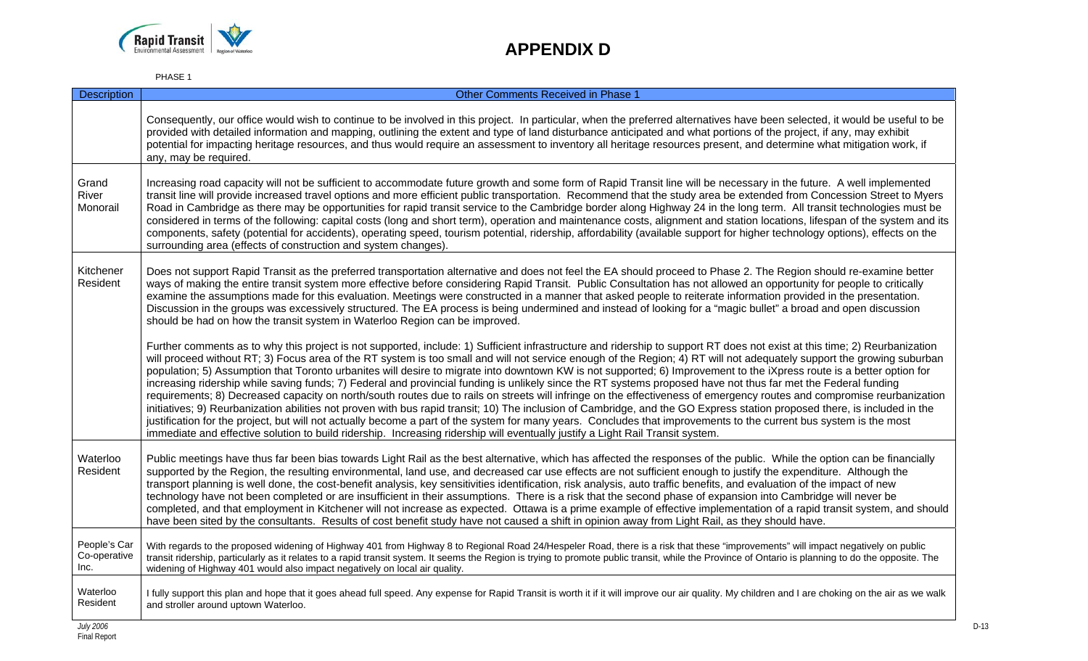

| <b>Description</b>                   | Other Comments Received in Phase 1                                                                                                                                                                                                                                                                                                                                                                                                                                                                                                                                                                                                                                                                                                                                                                                                                                                                                                                                                                                                                                                                                                                                                                                                                                                                                                                             |
|--------------------------------------|----------------------------------------------------------------------------------------------------------------------------------------------------------------------------------------------------------------------------------------------------------------------------------------------------------------------------------------------------------------------------------------------------------------------------------------------------------------------------------------------------------------------------------------------------------------------------------------------------------------------------------------------------------------------------------------------------------------------------------------------------------------------------------------------------------------------------------------------------------------------------------------------------------------------------------------------------------------------------------------------------------------------------------------------------------------------------------------------------------------------------------------------------------------------------------------------------------------------------------------------------------------------------------------------------------------------------------------------------------------|
|                                      | Consequently, our office would wish to continue to be involved in this project. In particular, when the preferred alternatives have been selected, it would be useful to be<br>provided with detailed information and mapping, outlining the extent and type of land disturbance anticipated and what portions of the project, if any, may exhibit<br>potential for impacting heritage resources, and thus would require an assessment to inventory all heritage resources present, and determine what mitigation work, if<br>any, may be required.                                                                                                                                                                                                                                                                                                                                                                                                                                                                                                                                                                                                                                                                                                                                                                                                            |
| Grand<br>River<br>Monorail           | Increasing road capacity will not be sufficient to accommodate future growth and some form of Rapid Transit line will be necessary in the future. A well implemented<br>transit line will provide increased travel options and more efficient public transportation. Recommend that the study area be extended from Concession Street to Myers<br>Road in Cambridge as there may be opportunities for rapid transit service to the Cambridge border along Highway 24 in the long term. All transit technologies must be<br>considered in terms of the following: capital costs (long and short term), operation and maintenance costs, alignment and station locations, lifespan of the system and its<br>components, safety (potential for accidents), operating speed, tourism potential, ridership, affordability (available support for higher technology options), effects on the<br>surrounding area (effects of construction and system changes).                                                                                                                                                                                                                                                                                                                                                                                                       |
| Kitchener<br>Resident                | Does not support Rapid Transit as the preferred transportation alternative and does not feel the EA should proceed to Phase 2. The Region should re-examine better<br>ways of making the entire transit system more effective before considering Rapid Transit. Public Consultation has not allowed an opportunity for people to critically<br>examine the assumptions made for this evaluation. Meetings were constructed in a manner that asked people to reiterate information provided in the presentation.<br>Discussion in the groups was excessively structured. The EA process is being undermined and instead of looking for a "magic bullet" a broad and open discussion<br>should be had on how the transit system in Waterloo Region can be improved.                                                                                                                                                                                                                                                                                                                                                                                                                                                                                                                                                                                              |
|                                      | Further comments as to why this project is not supported, include: 1) Sufficient infrastructure and ridership to support RT does not exist at this time; 2) Reurbanization<br>will proceed without RT; 3) Focus area of the RT system is too small and will not service enough of the Region; 4) RT will not adequately support the growing suburban<br>population; 5) Assumption that Toronto urbanites will desire to migrate into downtown KW is not supported; 6) Improvement to the iXpress route is a better option for<br>increasing ridership while saving funds; 7) Federal and provincial funding is unlikely since the RT systems proposed have not thus far met the Federal funding<br>requirements; 8) Decreased capacity on north/south routes due to rails on streets will infringe on the effectiveness of emergency routes and compromise reurbanization<br>initiatives; 9) Reurbanization abilities not proven with bus rapid transit; 10) The inclusion of Cambridge, and the GO Express station proposed there, is included in the<br>justification for the project, but will not actually become a part of the system for many years. Concludes that improvements to the current bus system is the most<br>immediate and effective solution to build ridership. Increasing ridership will eventually justify a Light Rail Transit system. |
| Waterloo<br>Resident                 | Public meetings have thus far been bias towards Light Rail as the best alternative, which has affected the responses of the public. While the option can be financially<br>supported by the Region, the resulting environmental, land use, and decreased car use effects are not sufficient enough to justify the expenditure. Although the<br>transport planning is well done, the cost-benefit analysis, key sensitivities identification, risk analysis, auto traffic benefits, and evaluation of the impact of new<br>technology have not been completed or are insufficient in their assumptions. There is a risk that the second phase of expansion into Cambridge will never be<br>completed, and that employment in Kitchener will not increase as expected. Ottawa is a prime example of effective implementation of a rapid transit system, and should<br>have been sited by the consultants. Results of cost benefit study have not caused a shift in opinion away from Light Rail, as they should have.                                                                                                                                                                                                                                                                                                                                            |
| People's Car<br>Co-operative<br>Inc. | With regards to the proposed widening of Highway 401 from Highway 8 to Regional Road 24/Hespeler Road, there is a risk that these "improvements" will impact negatively on public<br>transit ridership, particularly as it relates to a rapid transit system. It seems the Region is trying to promote public transit, while the Province of Ontario is planning to do the opposite. The<br>widening of Highway 401 would also impact negatively on local air quality.                                                                                                                                                                                                                                                                                                                                                                                                                                                                                                                                                                                                                                                                                                                                                                                                                                                                                         |
| Waterloo<br>Resident                 | I fully support this plan and hope that it goes ahead full speed. Any expense for Rapid Transit is worth it if it will improve our air quality. My children and I are choking on the air as we walk<br>and stroller around uptown Waterloo.                                                                                                                                                                                                                                                                                                                                                                                                                                                                                                                                                                                                                                                                                                                                                                                                                                                                                                                                                                                                                                                                                                                    |
| <b>July 2006</b>                     |                                                                                                                                                                                                                                                                                                                                                                                                                                                                                                                                                                                                                                                                                                                                                                                                                                                                                                                                                                                                                                                                                                                                                                                                                                                                                                                                                                |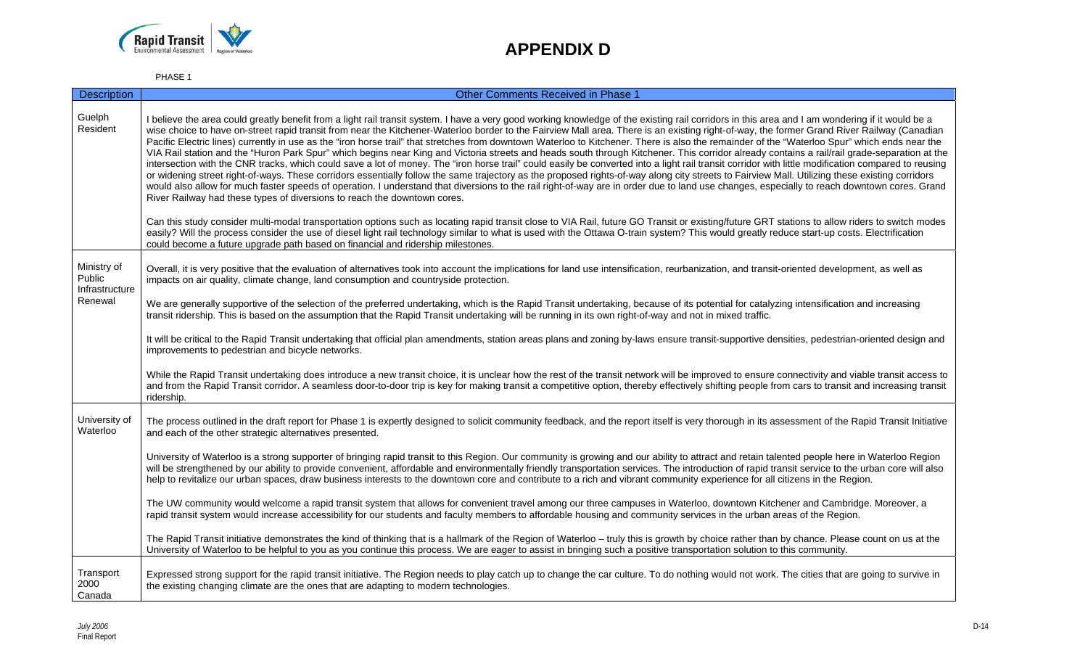

| <b>Description</b>                                 | <b>Other Comments Received in Phase 1</b>                                                                                                                                                                                                                                                                                                                                                                                                                                                                                                                                                                                                                                                                                                                                                                                                                                                                                                                                                                                                                                                                                                                                                                                                                                                                                                                                                                                                                                                                                                                                                                                                                                                                                                                                                                                                                                           |
|----------------------------------------------------|-------------------------------------------------------------------------------------------------------------------------------------------------------------------------------------------------------------------------------------------------------------------------------------------------------------------------------------------------------------------------------------------------------------------------------------------------------------------------------------------------------------------------------------------------------------------------------------------------------------------------------------------------------------------------------------------------------------------------------------------------------------------------------------------------------------------------------------------------------------------------------------------------------------------------------------------------------------------------------------------------------------------------------------------------------------------------------------------------------------------------------------------------------------------------------------------------------------------------------------------------------------------------------------------------------------------------------------------------------------------------------------------------------------------------------------------------------------------------------------------------------------------------------------------------------------------------------------------------------------------------------------------------------------------------------------------------------------------------------------------------------------------------------------------------------------------------------------------------------------------------------------|
| Guelph<br>Resident                                 | I believe the area could greatly benefit from a light rail transit system. I have a very good working knowledge of the existing rail corridors in this area and I am wondering if it would be a<br>wise choice to have on-street rapid transit from near the Kitchener-Waterloo border to the Fairview Mall area. There is an existing right-of-way, the former Grand River Railway (Canadian<br>Pacific Electric lines) currently in use as the "iron horse trail" that stretches from downtown Waterloo to Kitchener. There is also the remainder of the "Waterloo Spur" which ends near the<br>VIA Rail station and the "Huron Park Spur" which begins near King and Victoria streets and heads south through Kitchener. This corridor already contains a rail/rail grade-separation at the<br>intersection with the CNR tracks, which could save a lot of money. The "iron horse trail" could easily be converted into a light rail transit corridor with little modification compared to reusing<br>or widening street right-of-ways. These corridors essentially follow the same trajectory as the proposed rights-of-way along city streets to Fairview Mall. Utilizing these existing corridors<br>would also allow for much faster speeds of operation. I understand that diversions to the rail right-of-way are in order due to land use changes, especially to reach downtown cores. Grand<br>River Railway had these types of diversions to reach the downtown cores.<br>Can this study consider multi-modal transportation options such as locating rapid transit close to VIA Rail, future GO Transit or existing/future GRT stations to allow riders to switch modes<br>easily? Will the process consider the use of diesel light rail technology similar to what is used with the Ottawa O-train system? This would greatly reduce start-up costs. Electrification |
|                                                    | could become a future upgrade path based on financial and ridership milestones.                                                                                                                                                                                                                                                                                                                                                                                                                                                                                                                                                                                                                                                                                                                                                                                                                                                                                                                                                                                                                                                                                                                                                                                                                                                                                                                                                                                                                                                                                                                                                                                                                                                                                                                                                                                                     |
| Ministry of<br>Public<br>Infrastructure<br>Renewal | Overall, it is very positive that the evaluation of alternatives took into account the implications for land use intensification, reurbanization, and transit-oriented development, as well as<br>impacts on air quality, climate change, land consumption and countryside protection.                                                                                                                                                                                                                                                                                                                                                                                                                                                                                                                                                                                                                                                                                                                                                                                                                                                                                                                                                                                                                                                                                                                                                                                                                                                                                                                                                                                                                                                                                                                                                                                              |
|                                                    | We are generally supportive of the selection of the preferred undertaking, which is the Rapid Transit undertaking, because of its potential for catalyzing intensification and increasing<br>transit ridership. This is based on the assumption that the Rapid Transit undertaking will be running in its own right-of-way and not in mixed traffic.                                                                                                                                                                                                                                                                                                                                                                                                                                                                                                                                                                                                                                                                                                                                                                                                                                                                                                                                                                                                                                                                                                                                                                                                                                                                                                                                                                                                                                                                                                                                |
|                                                    | It will be critical to the Rapid Transit undertaking that official plan amendments, station areas plans and zoning by-laws ensure transit-supportive densities, pedestrian-oriented design and<br>improvements to pedestrian and bicycle networks.                                                                                                                                                                                                                                                                                                                                                                                                                                                                                                                                                                                                                                                                                                                                                                                                                                                                                                                                                                                                                                                                                                                                                                                                                                                                                                                                                                                                                                                                                                                                                                                                                                  |
|                                                    | While the Rapid Transit undertaking does introduce a new transit choice, it is unclear how the rest of the transit network will be improved to ensure connectivity and viable transit access to<br>and from the Rapid Transit corridor. A seamless door-to-door trip is key for making transit a competitive option, thereby effectively shifting people from cars to transit and increasing transit<br>ridership.                                                                                                                                                                                                                                                                                                                                                                                                                                                                                                                                                                                                                                                                                                                                                                                                                                                                                                                                                                                                                                                                                                                                                                                                                                                                                                                                                                                                                                                                  |
| University of<br>Waterloo                          | The process outlined in the draft report for Phase 1 is expertly designed to solicit community feedback, and the report itself is very thorough in its assessment of the Rapid Transit Initiative<br>and each of the other strategic alternatives presented.                                                                                                                                                                                                                                                                                                                                                                                                                                                                                                                                                                                                                                                                                                                                                                                                                                                                                                                                                                                                                                                                                                                                                                                                                                                                                                                                                                                                                                                                                                                                                                                                                        |
|                                                    | University of Waterloo is a strong supporter of bringing rapid transit to this Region. Our community is growing and our ability to attract and retain talented people here in Waterloo Region<br>will be strengthened by our ability to provide convenient, affordable and environmentally friendly transportation services. The introduction of rapid transit service to the urban core will also<br>help to revitalize our urban spaces, draw business interests to the downtown core and contribute to a rich and vibrant community experience for all citizens in the Region.                                                                                                                                                                                                                                                                                                                                                                                                                                                                                                                                                                                                                                                                                                                                                                                                                                                                                                                                                                                                                                                                                                                                                                                                                                                                                                   |
|                                                    | The UW community would welcome a rapid transit system that allows for convenient travel among our three campuses in Waterloo, downtown Kitchener and Cambridge. Moreover, a<br>rapid transit system would increase accessibility for our students and faculty members to affordable housing and community services in the urban areas of the Region.                                                                                                                                                                                                                                                                                                                                                                                                                                                                                                                                                                                                                                                                                                                                                                                                                                                                                                                                                                                                                                                                                                                                                                                                                                                                                                                                                                                                                                                                                                                                |
|                                                    | The Rapid Transit initiative demonstrates the kind of thinking that is a hallmark of the Region of Waterloo - truly this is growth by choice rather than by chance. Please count on us at the<br>University of Waterloo to be helpful to you as you continue this process. We are eager to assist in bringing such a positive transportation solution to this community.                                                                                                                                                                                                                                                                                                                                                                                                                                                                                                                                                                                                                                                                                                                                                                                                                                                                                                                                                                                                                                                                                                                                                                                                                                                                                                                                                                                                                                                                                                            |
| Transport<br>2000<br>Canada                        | Expressed strong support for the rapid transit initiative. The Region needs to play catch up to change the car culture. To do nothing would not work. The cities that are going to survive in<br>the existing changing climate are the ones that are adapting to modern technologies.                                                                                                                                                                                                                                                                                                                                                                                                                                                                                                                                                                                                                                                                                                                                                                                                                                                                                                                                                                                                                                                                                                                                                                                                                                                                                                                                                                                                                                                                                                                                                                                               |